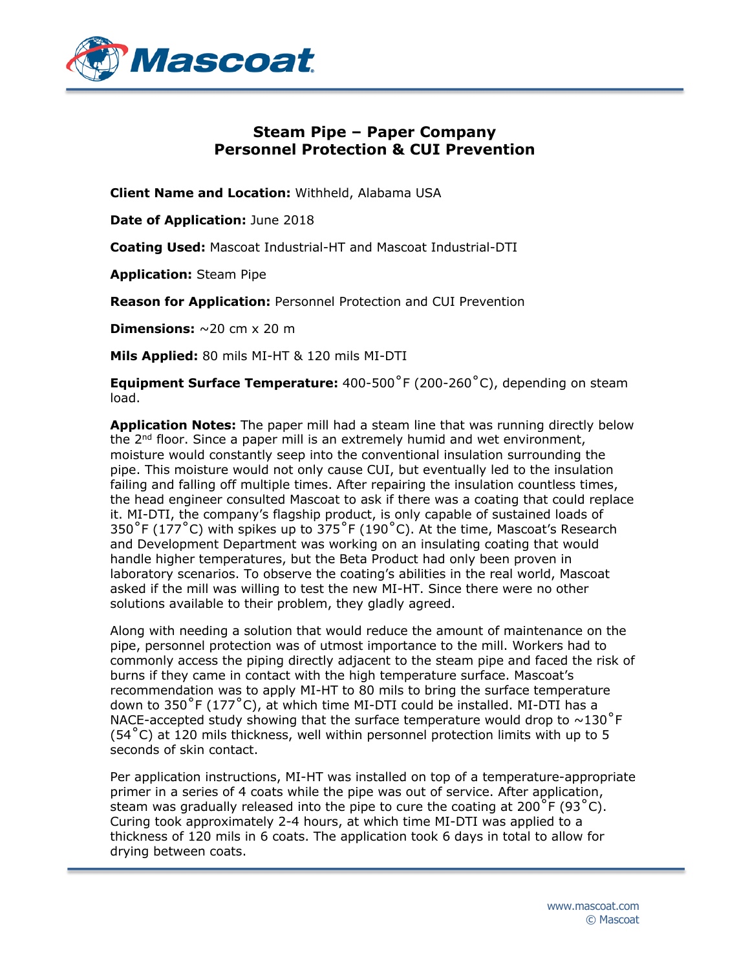

## **Steam Pipe – Paper Company Personnel Protection & CUI Prevention**

**Client Name and Location:** Withheld, Alabama USA

**Date of Application:** June 2018

**Coating Used:** Mascoat Industrial-HT and Mascoat Industrial-DTI

**Application:** Steam Pipe

**Reason for Application:** Personnel Protection and CUI Prevention

**Dimensions:**  $\sim$ 20 cm  $\times$  20 m

**Mils Applied:** 80 mils MI-HT & 120 mils MI-DTI

**Equipment Surface Temperature:** 400-500˚F (200-260˚C), depending on steam load.

**Application Notes:** The paper mill had a steam line that was running directly below the  $2<sup>nd</sup>$  floor. Since a paper mill is an extremely humid and wet environment, moisture would constantly seep into the conventional insulation surrounding the pipe. This moisture would not only cause CUI, but eventually led to the insulation failing and falling off multiple times. After repairing the insulation countless times, the head engineer consulted Mascoat to ask if there was a coating that could replace it. MI-DTI, the company's flagship product, is only capable of sustained loads of 350 $\degree$ F (177 $\degree$ C) with spikes up to 375 $\degree$ F (190 $\degree$ C). At the time, Mascoat's Research and Development Department was working on an insulating coating that would handle higher temperatures, but the Beta Product had only been proven in laboratory scenarios. To observe the coating's abilities in the real world, Mascoat asked if the mill was willing to test the new MI-HT. Since there were no other solutions available to their problem, they gladly agreed.

Along with needing a solution that would reduce the amount of maintenance on the pipe, personnel protection was of utmost importance to the mill. Workers had to commonly access the piping directly adjacent to the steam pipe and faced the risk of burns if they came in contact with the high temperature surface. Mascoat's recommendation was to apply MI-HT to 80 mils to bring the surface temperature down to 350°F (177°C), at which time MI-DTI could be installed. MI-DTI has a NACE-accepted study showing that the surface temperature would drop to  $\sim$ 130<sup>°</sup>F  $(54<sup>°</sup>C)$  at 120 mils thickness, well within personnel protection limits with up to 5 seconds of skin contact.

Per application instructions, MI-HT was installed on top of a temperature-appropriate primer in a series of 4 coats while the pipe was out of service. After application, steam was gradually released into the pipe to cure the coating at 200 $\degree$ F (93 $\degree$ C). Curing took approximately 2-4 hours, at which time MI-DTI was applied to a thickness of 120 mils in 6 coats. The application took 6 days in total to allow for drying between coats.